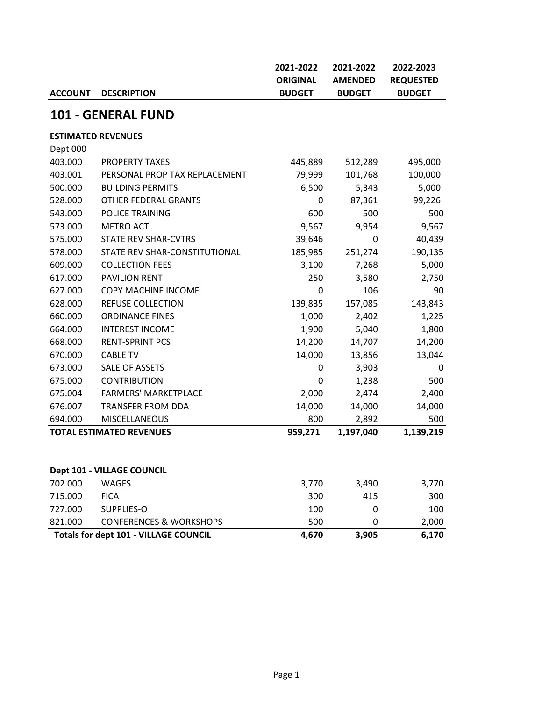|                           |                                              | 2021-2022       | 2021-2022      | 2022-2023        |
|---------------------------|----------------------------------------------|-----------------|----------------|------------------|
|                           |                                              | <b>ORIGINAL</b> | <b>AMENDED</b> | <b>REQUESTED</b> |
| <b>ACCOUNT</b>            | <b>DESCRIPTION</b>                           | <b>BUDGET</b>   | <b>BUDGET</b>  | <b>BUDGET</b>    |
|                           | <b>101 - GENERAL FUND</b>                    |                 |                |                  |
| <b>ESTIMATED REVENUES</b> |                                              |                 |                |                  |
| Dept 000                  |                                              |                 |                |                  |
| 403.000                   | <b>PROPERTY TAXES</b>                        | 445,889         | 512,289        | 495,000          |
| 403.001                   | PERSONAL PROP TAX REPLACEMENT                | 79,999          | 101,768        | 100,000          |
| 500.000                   | <b>BUILDING PERMITS</b>                      | 6,500           | 5,343          | 5,000            |
| 528.000                   | OTHER FEDERAL GRANTS                         | 0               | 87,361         | 99,226           |
| 543.000                   | POLICE TRAINING                              | 600             | 500            | 500              |
| 573.000                   | <b>METRO ACT</b>                             | 9,567           | 9,954          | 9,567            |
| 575.000                   | <b>STATE REV SHAR-CVTRS</b>                  | 39,646          | 0              | 40,439           |
| 578.000                   | STATE REV SHAR-CONSTITUTIONAL                | 185,985         | 251,274        | 190,135          |
| 609.000                   | <b>COLLECTION FEES</b>                       | 3,100           | 7,268          | 5,000            |
| 617.000                   | <b>PAVILION RENT</b>                         | 250             | 3,580          | 2,750            |
| 627.000                   | COPY MACHINE INCOME                          | 0               | 106            | 90               |
| 628.000                   | <b>REFUSE COLLECTION</b>                     | 139,835         | 157,085        | 143,843          |
| 660.000                   | <b>ORDINANCE FINES</b>                       | 1,000           | 2,402          | 1,225            |
| 664.000                   | <b>INTEREST INCOME</b>                       | 1,900           | 5,040          | 1,800            |
| 668.000                   | <b>RENT-SPRINT PCS</b>                       | 14,200          | 14,707         | 14,200           |
| 670.000                   | <b>CABLE TV</b>                              | 14,000          | 13,856         | 13,044           |
| 673.000                   | <b>SALE OF ASSETS</b>                        | 0               | 3,903          | 0                |
| 675.000                   | <b>CONTRIBUTION</b>                          | 0               | 1,238          | 500              |
| 675.004                   | <b>FARMERS' MARKETPLACE</b>                  | 2,000           | 2,474          | 2,400            |
| 676.007                   | <b>TRANSFER FROM DDA</b>                     | 14,000          | 14,000         | 14,000           |
| 694.000                   | <b>MISCELLANEOUS</b>                         | 800             | 2,892          | 500              |
|                           | <b>TOTAL ESTIMATED REVENUES</b>              | 959,271         | 1,197,040      | 1,139,219        |
|                           |                                              |                 |                |                  |
|                           | Dept 101 - VILLAGE COUNCIL                   |                 |                |                  |
| 702.000                   | <b>WAGES</b>                                 | 3,770           | 3,490          | 3,770            |
| 715.000                   | <b>FICA</b>                                  | 300             | 415            | 300              |
| 727.000                   | SUPPLIES-O                                   | 100             | 0              | 100              |
| 821.000                   | <b>CONFERENCES &amp; WORKSHOPS</b>           | 500             | 0              | 2,000            |
|                           | <b>Totals for dept 101 - VILLAGE COUNCIL</b> | 4,670           | 3,905          | 6,170            |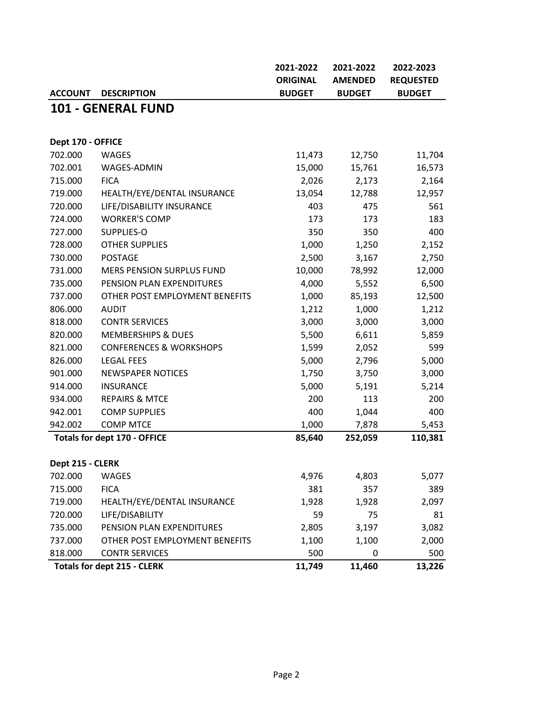|                   |                                     | 2021-2022       | 2021-2022      | 2022-2023        |
|-------------------|-------------------------------------|-----------------|----------------|------------------|
|                   |                                     | <b>ORIGINAL</b> | <b>AMENDED</b> | <b>REQUESTED</b> |
| <b>ACCOUNT</b>    | <b>DESCRIPTION</b>                  | <b>BUDGET</b>   | <b>BUDGET</b>  | <b>BUDGET</b>    |
|                   | <b>101 - GENERAL FUND</b>           |                 |                |                  |
|                   |                                     |                 |                |                  |
| Dept 170 - OFFICE |                                     |                 |                |                  |
| 702.000           | <b>WAGES</b>                        | 11,473          | 12,750         | 11,704           |
| 702.001           | WAGES-ADMIN                         | 15,000          | 15,761         | 16,573           |
| 715.000           | <b>FICA</b>                         | 2,026           | 2,173          | 2,164            |
| 719.000           | HEALTH/EYE/DENTAL INSURANCE         | 13,054          | 12,788         | 12,957           |
| 720.000           | LIFE/DISABILITY INSURANCE           | 403             | 475            | 561              |
| 724.000           | <b>WORKER'S COMP</b>                | 173             | 173            | 183              |
| 727.000           | SUPPLIES-O                          | 350             | 350            | 400              |
| 728.000           | <b>OTHER SUPPLIES</b>               | 1,000           | 1,250          | 2,152            |
| 730.000           | <b>POSTAGE</b>                      | 2,500           | 3,167          | 2,750            |
| 731.000           | MERS PENSION SURPLUS FUND           | 10,000          | 78,992         | 12,000           |
| 735.000           | PENSION PLAN EXPENDITURES           | 4,000           | 5,552          | 6,500            |
| 737.000           | OTHER POST EMPLOYMENT BENEFITS      | 1,000           | 85,193         | 12,500           |
| 806.000           | <b>AUDIT</b>                        | 1,212           | 1,000          | 1,212            |
| 818.000           | <b>CONTR SERVICES</b>               | 3,000           | 3,000          | 3,000            |
| 820.000           | <b>MEMBERSHIPS &amp; DUES</b>       | 5,500           | 6,611          | 5,859            |
| 821.000           | <b>CONFERENCES &amp; WORKSHOPS</b>  | 1,599           | 2,052          | 599              |
| 826.000           | <b>LEGAL FEES</b>                   | 5,000           | 2,796          | 5,000            |
| 901.000           | <b>NEWSPAPER NOTICES</b>            | 1,750           | 3,750          | 3,000            |
| 914.000           | <b>INSURANCE</b>                    | 5,000           | 5,191          | 5,214            |
| 934.000           | <b>REPAIRS &amp; MTCE</b>           | 200             | 113            | 200              |
| 942.001           | <b>COMP SUPPLIES</b>                | 400             | 1,044          | 400              |
| 942.002           | <b>COMP MTCE</b>                    | 1,000           | 7,878          | 5,453            |
|                   | <b>Totals for dept 170 - OFFICE</b> | 85,640          | 252,059        | 110,381          |
|                   |                                     |                 |                |                  |
| Dept 215 - CLERK  |                                     |                 |                |                  |
| 702.000           | <b>WAGES</b>                        | 4,976           | 4,803          | 5,077            |
| 715.000           | <b>FICA</b>                         | 381             | 357            | 389              |
| 719.000           | HEALTH/EYE/DENTAL INSURANCE         | 1,928           | 1,928          | 2,097            |
| 720.000           | LIFE/DISABILITY                     | 59              | 75             | 81               |
| 735.000           | PENSION PLAN EXPENDITURES           | 2,805           | 3,197          | 3,082            |
| 737.000           | OTHER POST EMPLOYMENT BENEFITS      | 1,100           | 1,100          | 2,000            |
| 818.000           | <b>CONTR SERVICES</b>               | 500             | 0              | 500              |
|                   | <b>Totals for dept 215 - CLERK</b>  | 11,749          | 11,460         | 13,226           |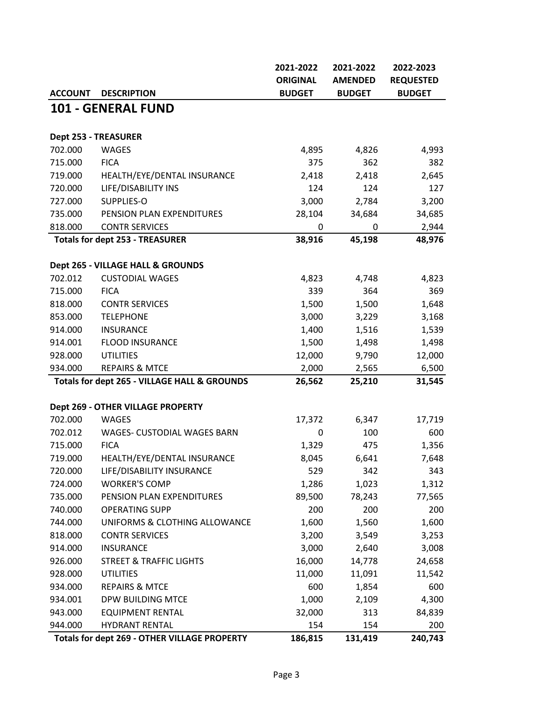|                      |                                              | 2021-2022       | 2021-2022      | 2022-2023        |
|----------------------|----------------------------------------------|-----------------|----------------|------------------|
|                      |                                              | <b>ORIGINAL</b> | <b>AMENDED</b> | <b>REQUESTED</b> |
| <b>ACCOUNT</b>       | <b>DESCRIPTION</b>                           | <b>BUDGET</b>   | <b>BUDGET</b>  | <b>BUDGET</b>    |
|                      | <b>101 - GENERAL FUND</b>                    |                 |                |                  |
|                      |                                              |                 |                |                  |
| Dept 253 - TREASURER |                                              |                 |                |                  |
| 702.000              | <b>WAGES</b>                                 | 4,895           | 4,826          | 4,993            |
| 715.000              | <b>FICA</b>                                  | 375             | 362            | 382              |
| 719.000              | HEALTH/EYE/DENTAL INSURANCE                  | 2,418           | 2,418          | 2,645            |
| 720.000              | LIFE/DISABILITY INS                          | 124             | 124            | 127              |
| 727.000              | SUPPLIES-O                                   | 3,000           | 2,784          | 3,200            |
| 735.000              | PENSION PLAN EXPENDITURES                    | 28,104          | 34,684         | 34,685           |
| 818.000              | <b>CONTR SERVICES</b>                        | 0               | 0              | 2,944            |
|                      | <b>Totals for dept 253 - TREASURER</b>       | 38,916          | 45,198         | 48,976           |
|                      |                                              |                 |                |                  |
|                      | Dept 265 - VILLAGE HALL & GROUNDS            |                 |                |                  |
| 702.012              | <b>CUSTODIAL WAGES</b>                       | 4,823           | 4,748          | 4,823            |
| 715.000              | <b>FICA</b>                                  | 339             | 364            | 369              |
| 818.000              | <b>CONTR SERVICES</b>                        | 1,500           | 1,500          | 1,648            |
| 853.000              | <b>TELEPHONE</b>                             | 3,000           | 3,229          | 3,168            |
| 914.000              | <b>INSURANCE</b>                             | 1,400           | 1,516          | 1,539            |
| 914.001              | FLOOD INSURANCE                              | 1,500           | 1,498          | 1,498            |
| 928.000              | <b>UTILITIES</b>                             | 12,000          | 9,790          | 12,000           |
| 934.000              | <b>REPAIRS &amp; MTCE</b>                    | 2,000           | 2,565          | 6,500            |
|                      | Totals for dept 265 - VILLAGE HALL & GROUNDS | 26,562          | 25,210         | 31,545           |
|                      | Dept 269 - OTHER VILLAGE PROPERTY            |                 |                |                  |
| 702.000              | <b>WAGES</b>                                 | 17,372          | 6,347          | 17,719           |
| 702.012              | WAGES- CUSTODIAL WAGES BARN                  | 0               | 100            | 600              |
| 715.000              | <b>FICA</b>                                  | 1,329           | 475            | 1,356            |
| 719.000              | HEALTH/EYE/DENTAL INSURANCE                  | 8,045           | 6,641          | 7,648            |
| 720.000              | LIFE/DISABILITY INSURANCE                    | 529             | 342            | 343              |
| 724.000              | <b>WORKER'S COMP</b>                         | 1,286           | 1,023          | 1,312            |
| 735.000              | PENSION PLAN EXPENDITURES                    | 89,500          | 78,243         | 77,565           |
| 740.000              | <b>OPERATING SUPP</b>                        | 200             | 200            | 200              |
| 744.000              | UNIFORMS & CLOTHING ALLOWANCE                | 1,600           | 1,560          | 1,600            |
| 818.000              | <b>CONTR SERVICES</b>                        | 3,200           | 3,549          | 3,253            |
| 914.000              | <b>INSURANCE</b>                             | 3,000           | 2,640          | 3,008            |
| 926.000              | <b>STREET &amp; TRAFFIC LIGHTS</b>           | 16,000          | 14,778         | 24,658           |
| 928.000              | <b>UTILITIES</b>                             | 11,000          | 11,091         | 11,542           |
| 934.000              | <b>REPAIRS &amp; MTCE</b>                    | 600             | 1,854          | 600              |
| 934.001              | DPW BUILDING MTCE                            | 1,000           | 2,109          | 4,300            |
| 943.000              | <b>EQUIPMENT RENTAL</b>                      | 32,000          | 313            | 84,839           |
| 944.000              | <b>HYDRANT RENTAL</b>                        | 154             | 154            | 200              |
|                      | Totals for dept 269 - OTHER VILLAGE PROPERTY | 186,815         | 131,419        | 240,743          |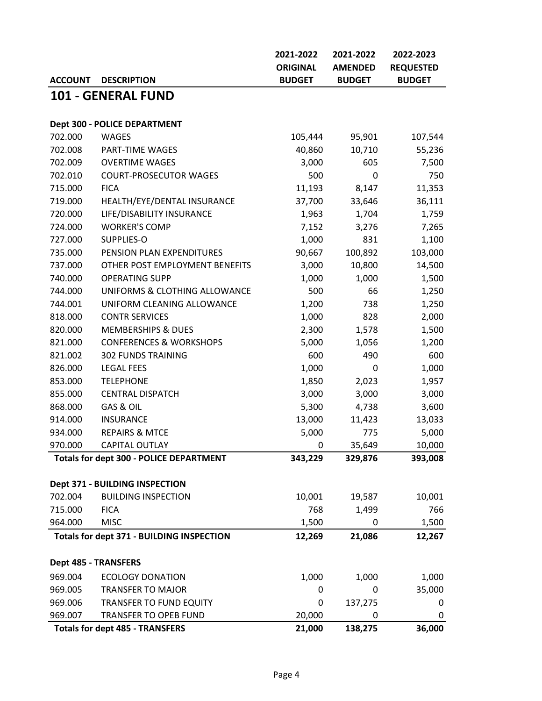|                |                                                | 2021-2022       | 2021-2022      | 2022-2023        |
|----------------|------------------------------------------------|-----------------|----------------|------------------|
|                |                                                | <b>ORIGINAL</b> | <b>AMENDED</b> | <b>REQUESTED</b> |
| <b>ACCOUNT</b> | <b>DESCRIPTION</b>                             | <b>BUDGET</b>   | <b>BUDGET</b>  | <b>BUDGET</b>    |
|                | 101 - GENERAL FUND                             |                 |                |                  |
|                |                                                |                 |                |                  |
|                | <b>Dept 300 - POLICE DEPARTMENT</b>            |                 |                |                  |
| 702.000        | <b>WAGES</b>                                   | 105,444         | 95,901         | 107,544          |
| 702.008        | PART-TIME WAGES                                | 40,860          | 10,710         | 55,236           |
| 702.009        | <b>OVERTIME WAGES</b>                          | 3,000           | 605            | 7,500            |
| 702.010        | <b>COURT-PROSECUTOR WAGES</b>                  | 500             | 0              | 750              |
| 715.000        | <b>FICA</b>                                    | 11,193          | 8,147          | 11,353           |
| 719.000        | HEALTH/EYE/DENTAL INSURANCE                    | 37,700          | 33,646         | 36,111           |
| 720.000        | LIFE/DISABILITY INSURANCE                      | 1,963           | 1,704          | 1,759            |
| 724.000        | <b>WORKER'S COMP</b>                           | 7,152           | 3,276          | 7,265            |
| 727.000        | SUPPLIES-O                                     | 1,000           | 831            | 1,100            |
| 735.000        | PENSION PLAN EXPENDITURES                      | 90,667          | 100,892        | 103,000          |
| 737.000        | OTHER POST EMPLOYMENT BENEFITS                 | 3,000           | 10,800         | 14,500           |
| 740.000        | <b>OPERATING SUPP</b>                          | 1,000           | 1,000          | 1,500            |
| 744.000        | UNIFORMS & CLOTHING ALLOWANCE                  | 500             | 66             | 1,250            |
| 744.001        | UNIFORM CLEANING ALLOWANCE                     | 1,200           | 738            | 1,250            |
| 818.000        | <b>CONTR SERVICES</b>                          | 1,000           | 828            | 2,000            |
| 820.000        | <b>MEMBERSHIPS &amp; DUES</b>                  | 2,300           | 1,578          | 1,500            |
| 821.000        | <b>CONFERENCES &amp; WORKSHOPS</b>             | 5,000           | 1,056          | 1,200            |
| 821.002        | <b>302 FUNDS TRAINING</b>                      | 600             | 490            | 600              |
| 826.000        | <b>LEGAL FEES</b>                              | 1,000           | 0              | 1,000            |
| 853.000        | <b>TELEPHONE</b>                               | 1,850           | 2,023          | 1,957            |
| 855.000        | <b>CENTRAL DISPATCH</b>                        | 3,000           | 3,000          | 3,000            |
| 868.000        | GAS & OIL                                      | 5,300           | 4,738          | 3,600            |
| 914.000        | <b>INSURANCE</b>                               | 13,000          | 11,423         | 13,033           |
| 934.000        | <b>REPAIRS &amp; MTCE</b>                      | 5,000           | 775            | 5,000            |
| 970.000        | CAPITAL OUTLAY                                 | $\mathbf 0$     | 35,649         | 10,000           |
|                | <b>Totals for dept 300 - POLICE DEPARTMENT</b> | 343,229         | 329,876        | 393,008          |
|                |                                                |                 |                |                  |
|                | Dept 371 - BUILDING INSPECTION                 |                 |                |                  |
| 702.004        | <b>BUILDING INSPECTION</b>                     | 10,001          | 19,587         | 10,001           |
| 715.000        | <b>FICA</b>                                    | 768             | 1,499          | 766              |
| 964.000        | <b>MISC</b>                                    | 1,500           | 0              | 1,500            |
|                | Totals for dept 371 - BUILDING INSPECTION      | 12,269          | 21,086         | 12,267           |
|                |                                                |                 |                |                  |
|                | <b>Dept 485 - TRANSFERS</b>                    |                 |                |                  |
| 969.004        | <b>ECOLOGY DONATION</b>                        | 1,000           | 1,000          | 1,000            |
| 969.005        | <b>TRANSFER TO MAJOR</b>                       | 0               | 0              | 35,000           |
| 969.006        | <b>TRANSFER TO FUND EQUITY</b>                 | 0               | 137,275        | 0                |
| 969.007        | <b>TRANSFER TO OPEB FUND</b>                   | 20,000          | 0              | 0                |
|                | <b>Totals for dept 485 - TRANSFERS</b>         | 21,000          | 138,275        | 36,000           |
|                |                                                |                 |                |                  |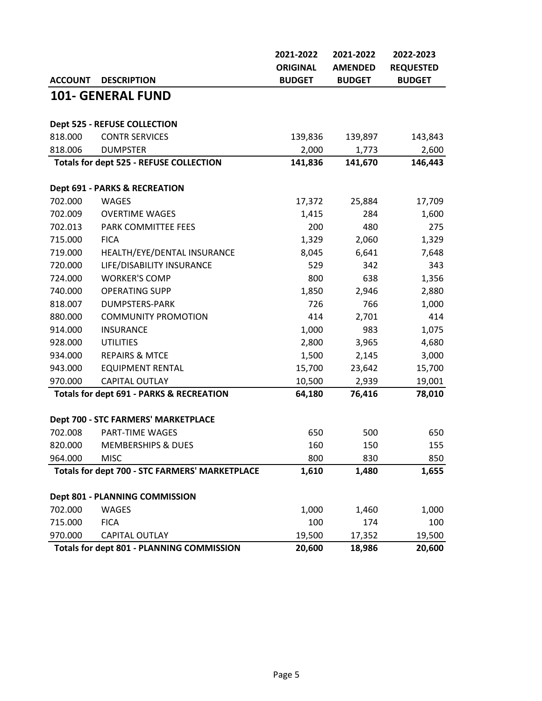|                |                                                             | 2021-2022        | 2021-2022        | 2022-2023        |
|----------------|-------------------------------------------------------------|------------------|------------------|------------------|
|                |                                                             | <b>ORIGINAL</b>  | <b>AMENDED</b>   | <b>REQUESTED</b> |
| <b>ACCOUNT</b> | <b>DESCRIPTION</b>                                          | <b>BUDGET</b>    | <b>BUDGET</b>    | <b>BUDGET</b>    |
|                | <b>101- GENERAL FUND</b>                                    |                  |                  |                  |
|                |                                                             |                  |                  |                  |
|                | <b>Dept 525 - REFUSE COLLECTION</b>                         |                  |                  |                  |
| 818.000        | <b>CONTR SERVICES</b>                                       | 139,836          | 139,897          | 143,843          |
| 818.006        | <b>DUMPSTER</b>                                             | 2,000            | 1,773            | 2,600            |
|                | <b>Totals for dept 525 - REFUSE COLLECTION</b>              | 141,836          | 141,670          | 146,443          |
|                | <b>Dept 691 - PARKS &amp; RECREATION</b>                    |                  |                  |                  |
| 702.000        | <b>WAGES</b>                                                | 17,372           | 25,884           | 17,709           |
| 702.009        | <b>OVERTIME WAGES</b>                                       | 1,415            | 284              | 1,600            |
| 702.013        | PARK COMMITTEE FEES                                         | 200              | 480              | 275              |
| 715.000        | <b>FICA</b>                                                 | 1,329            | 2,060            | 1,329            |
| 719.000        | HEALTH/EYE/DENTAL INSURANCE                                 | 8,045            | 6,641            | 7,648            |
| 720.000        | LIFE/DISABILITY INSURANCE                                   | 529              | 342              | 343              |
| 724.000        | <b>WORKER'S COMP</b>                                        | 800              | 638              | 1,356            |
| 740.000        | <b>OPERATING SUPP</b>                                       | 1,850            | 2,946            | 2,880            |
| 818.007        | <b>DUMPSTERS-PARK</b>                                       | 726              | 766              | 1,000            |
| 880.000        | <b>COMMUNITY PROMOTION</b>                                  | 414              | 2,701            | 414              |
| 914.000        | <b>INSURANCE</b>                                            | 1,000            | 983              | 1,075            |
| 928.000        | <b>UTILITIES</b>                                            | 2,800            | 3,965            | 4,680            |
| 934.000        | <b>REPAIRS &amp; MTCE</b>                                   | 1,500            | 2,145            | 3,000            |
| 943.000        | <b>EQUIPMENT RENTAL</b>                                     | 15,700           | 23,642           | 15,700           |
| 970.000        | CAPITAL OUTLAY                                              | 10,500           | 2,939            | 19,001           |
|                | <b>Totals for dept 691 - PARKS &amp; RECREATION</b>         | 64,180           | 76,416           | 78,010           |
|                | Dept 700 - STC FARMERS' MARKETPLACE                         |                  |                  |                  |
| 702.008        | <b>PART-TIME WAGES</b>                                      | 650              | 500              | 650              |
|                | 820.000 MEMBERSHIPS & DUES                                  | 160              | 150              | 155              |
| 964.000        | <b>MISC</b>                                                 | 800              | 830              | 850              |
|                | <b>Totals for dept 700 - STC FARMERS' MARKETPLACE</b>       | 1,610            | 1,480            | 1,655            |
|                |                                                             |                  |                  |                  |
|                | Dept 801 - PLANNING COMMISSION                              |                  |                  |                  |
| 702.000        | <b>WAGES</b>                                                | 1,000            | 1,460            | 1,000            |
| 715.000        | <b>FICA</b>                                                 | 100              | 174              | 100              |
| 970.000        | CAPITAL OUTLAY<br>Totals for dept 801 - PLANNING COMMISSION | 19,500<br>20,600 | 17,352<br>18,986 | 19,500<br>20,600 |
|                |                                                             |                  |                  |                  |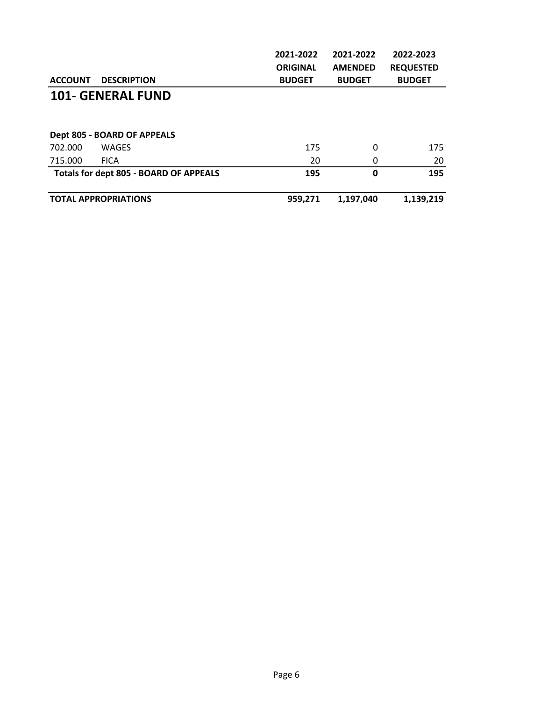|                |                                        | 2021-2022       | 2021-2022      | 2022-2023        |
|----------------|----------------------------------------|-----------------|----------------|------------------|
|                |                                        | <b>ORIGINAL</b> | <b>AMENDED</b> | <b>REQUESTED</b> |
| <b>ACCOUNT</b> | <b>DESCRIPTION</b>                     | <b>BUDGET</b>   | <b>BUDGET</b>  | <b>BUDGET</b>    |
|                | <b>101- GENERAL FUND</b>               |                 |                |                  |
|                | Dept 805 - BOARD OF APPEALS            |                 |                |                  |
| 702.000        | WAGES                                  | 175             | 0              | 175              |
| 715.000        | <b>FICA</b>                            | 20              | 0              | 20               |
|                | Totals for dept 805 - BOARD OF APPEALS | 195             | 0              | 195              |
|                | <b>TOTAL APPROPRIATIONS</b>            | 959,271         | 1,197,040      | 1,139,219        |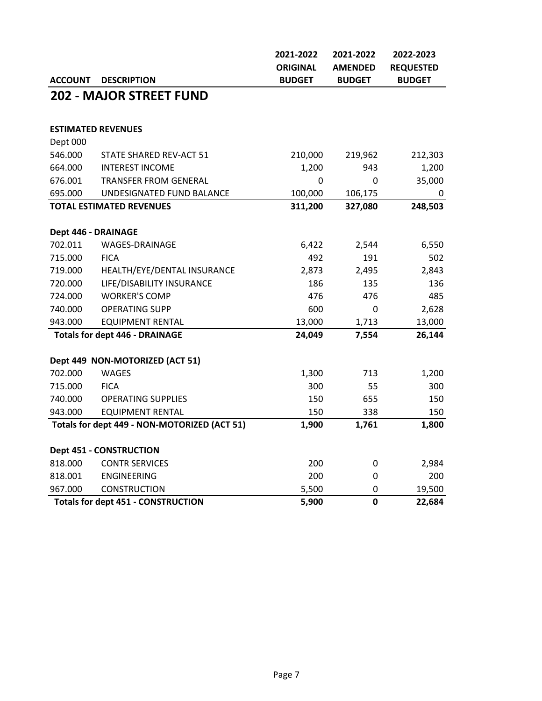|                     |                                              | 2021-2022       | 2021-2022      | 2022-2023        |
|---------------------|----------------------------------------------|-----------------|----------------|------------------|
|                     |                                              | <b>ORIGINAL</b> | <b>AMENDED</b> | <b>REQUESTED</b> |
| <b>ACCOUNT</b>      | <b>DESCRIPTION</b>                           | <b>BUDGET</b>   | <b>BUDGET</b>  | <b>BUDGET</b>    |
|                     | <b>202 - MAJOR STREET FUND</b>               |                 |                |                  |
|                     |                                              |                 |                |                  |
|                     | <b>ESTIMATED REVENUES</b>                    |                 |                |                  |
| Dept 000            |                                              |                 |                |                  |
| 546.000             | STATE SHARED REV-ACT 51                      | 210,000         | 219,962        | 212,303          |
| 664.000             | <b>INTEREST INCOME</b>                       | 1,200           | 943            | 1,200            |
| 676.001             | <b>TRANSFER FROM GENERAL</b>                 | 0               | 0              | 35,000           |
| 695.000             | UNDESIGNATED FUND BALANCE                    | 100,000         | 106,175        | 0                |
|                     | <b>TOTAL ESTIMATED REVENUES</b>              | 311,200         | 327,080        | 248,503          |
| Dept 446 - DRAINAGE |                                              |                 |                |                  |
| 702.011             | WAGES-DRAINAGE                               | 6,422           | 2,544          | 6,550            |
| 715.000             | <b>FICA</b>                                  | 492             | 191            | 502              |
| 719.000             | HEALTH/EYE/DENTAL INSURANCE                  | 2,873           | 2,495          | 2,843            |
| 720.000             | LIFE/DISABILITY INSURANCE                    | 186             | 135            | 136              |
| 724.000             | <b>WORKER'S COMP</b>                         | 476             | 476            | 485              |
| 740.000             | <b>OPERATING SUPP</b>                        | 600             | 0              | 2,628            |
| 943.000             | <b>EQUIPMENT RENTAL</b>                      | 13,000          | 1,713          | 13,000           |
|                     | <b>Totals for dept 446 - DRAINAGE</b>        | 24,049          | 7,554          | 26,144           |
|                     | Dept 449 NON-MOTORIZED (ACT 51)              |                 |                |                  |
| 702.000             | <b>WAGES</b>                                 | 1,300           | 713            | 1,200            |
| 715.000             | <b>FICA</b>                                  | 300             | 55             | 300              |
| 740.000             | <b>OPERATING SUPPLIES</b>                    | 150             | 655            | 150              |
| 943.000             | <b>EQUIPMENT RENTAL</b>                      | 150             | 338            | 150              |
|                     | Totals for dept 449 - NON-MOTORIZED (ACT 51) | 1,900           | 1,761          | 1,800            |
|                     | <b>Dept 451 - CONSTRUCTION</b>               |                 |                |                  |
| 818.000             | <b>CONTR SERVICES</b>                        | 200             | 0              | 2,984            |
| 818.001             | <b>ENGINEERING</b>                           | 200             | $\mathbf 0$    | 200              |
| 967.000             | <b>CONSTRUCTION</b>                          | 5,500           | $\mathbf 0$    | 19,500           |
|                     | <b>Totals for dept 451 - CONSTRUCTION</b>    | 5,900           | $\mathbf 0$    | 22,684           |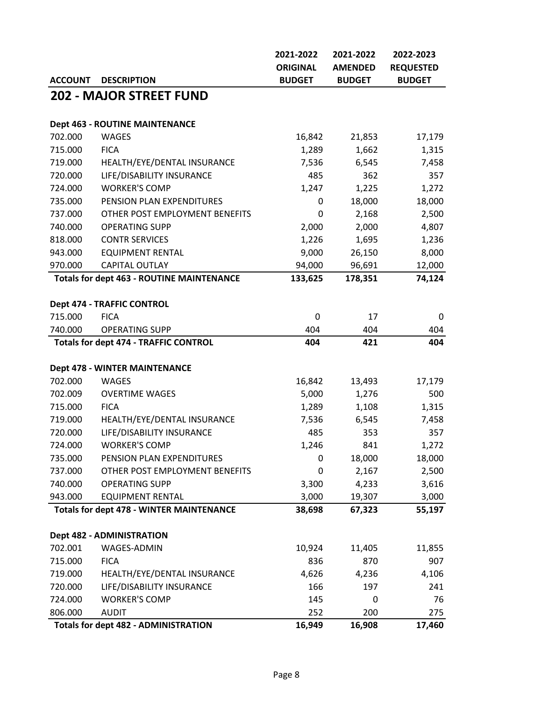|                |                                                  | 2021-2022       | 2021-2022      | 2022-2023        |
|----------------|--------------------------------------------------|-----------------|----------------|------------------|
|                |                                                  | <b>ORIGINAL</b> | <b>AMENDED</b> | <b>REQUESTED</b> |
| <b>ACCOUNT</b> | <b>DESCRIPTION</b>                               | <b>BUDGET</b>   | <b>BUDGET</b>  | <b>BUDGET</b>    |
|                | <b>202 - MAJOR STREET FUND</b>                   |                 |                |                  |
|                |                                                  |                 |                |                  |
|                | <b>Dept 463 - ROUTINE MAINTENANCE</b>            |                 |                |                  |
| 702.000        | <b>WAGES</b>                                     | 16,842          | 21,853         | 17,179           |
| 715.000        | <b>FICA</b>                                      | 1,289           | 1,662          | 1,315            |
| 719.000        | HEALTH/EYE/DENTAL INSURANCE                      | 7,536           | 6,545          | 7,458            |
| 720.000        | LIFE/DISABILITY INSURANCE                        | 485             | 362            | 357              |
| 724.000        | <b>WORKER'S COMP</b>                             | 1,247           | 1,225          | 1,272            |
| 735.000        | PENSION PLAN EXPENDITURES                        | 0               | 18,000         | 18,000           |
| 737.000        | OTHER POST EMPLOYMENT BENEFITS                   | 0               | 2,168          | 2,500            |
| 740.000        | <b>OPERATING SUPP</b>                            | 2,000           | 2,000          | 4,807            |
| 818.000        | <b>CONTR SERVICES</b>                            | 1,226           | 1,695          | 1,236            |
| 943.000        | <b>EQUIPMENT RENTAL</b>                          | 9,000           | 26,150         | 8,000            |
| 970.000        | <b>CAPITAL OUTLAY</b>                            | 94,000          | 96,691         | 12,000           |
|                | <b>Totals for dept 463 - ROUTINE MAINTENANCE</b> | 133,625         | 178,351        | 74,124           |
|                |                                                  |                 |                |                  |
|                | Dept 474 - TRAFFIC CONTROL                       |                 |                |                  |
| 715.000        | <b>FICA</b>                                      | 0               | 17             | 0                |
| 740.000        | <b>OPERATING SUPP</b>                            | 404             | 404            | 404              |
|                | <b>Totals for dept 474 - TRAFFIC CONTROL</b>     | 404             | 421            | 404              |
|                |                                                  |                 |                |                  |
|                | <b>Dept 478 - WINTER MAINTENANCE</b>             |                 |                |                  |
| 702.000        | <b>WAGES</b>                                     | 16,842          | 13,493         | 17,179           |
| 702.009        | <b>OVERTIME WAGES</b>                            | 5,000           | 1,276          | 500              |
| 715.000        | <b>FICA</b>                                      | 1,289           | 1,108          | 1,315            |
| 719.000        | HEALTH/EYE/DENTAL INSURANCE                      | 7,536           | 6,545          | 7,458            |
| 720.000        | LIFE/DISABILITY INSURANCE                        | 485             | 353            | 357              |
| 724.000        | <b>WORKER'S COMP</b>                             | 1,246           | 841            | 1,272            |
| 735.000        | PENSION PLAN EXPENDITURES                        | 0               | 18,000         | 18,000           |
| 737.000        | OTHER POST EMPLOYMENT BENEFITS                   | 0               | 2,167          | 2,500            |
| 740.000        | <b>OPERATING SUPP</b>                            | 3,300           | 4,233          | 3,616            |
| 943.000        | <b>EQUIPMENT RENTAL</b>                          | 3,000           | 19,307         | 3,000            |
|                | <b>Totals for dept 478 - WINTER MAINTENANCE</b>  | 38,698          | 67,323         | 55,197           |
|                | <b>Dept 482 - ADMINISTRATION</b>                 |                 |                |                  |
| 702.001        | WAGES-ADMIN                                      | 10,924          | 11,405         | 11,855           |
| 715.000        | <b>FICA</b>                                      | 836             | 870            | 907              |
| 719.000        | HEALTH/EYE/DENTAL INSURANCE                      | 4,626           | 4,236          | 4,106            |
| 720.000        | LIFE/DISABILITY INSURANCE                        | 166             | 197            | 241              |
| 724.000        | <b>WORKER'S COMP</b>                             | 145             | 0              | 76               |
| 806.000        | <b>AUDIT</b>                                     | 252             | 200            | 275              |
|                | <b>Totals for dept 482 - ADMINISTRATION</b>      | 16,949          | 16,908         | 17,460           |
|                |                                                  |                 |                |                  |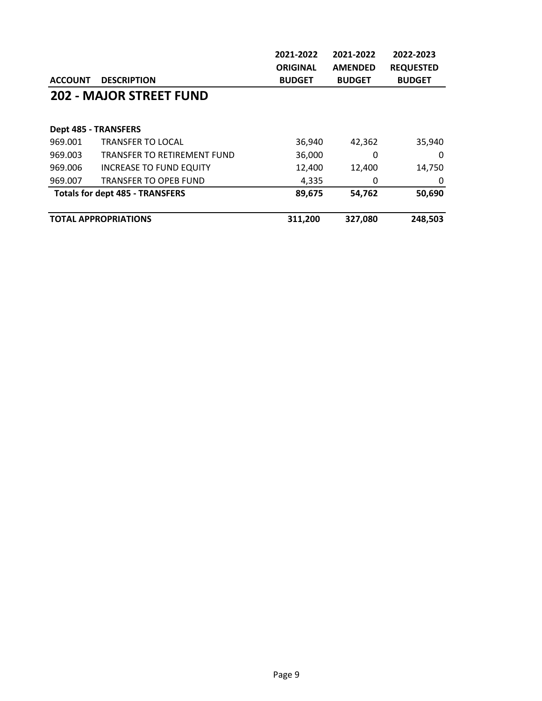|                |                                        | 2021-2022       | 2021-2022      | 2022-2023        |
|----------------|----------------------------------------|-----------------|----------------|------------------|
|                |                                        | <b>ORIGINAL</b> | <b>AMENDED</b> | <b>REQUESTED</b> |
| <b>ACCOUNT</b> | <b>DESCRIPTION</b>                     | <b>BUDGET</b>   | <b>BUDGET</b>  | <b>BUDGET</b>    |
|                | <b>202 - MAJOR STREET FUND</b>         |                 |                |                  |
|                |                                        |                 |                |                  |
|                | <b>Dept 485 - TRANSFERS</b>            |                 |                |                  |
| 969.001        | <b>TRANSFER TO LOCAL</b>               | 36,940          | 42,362         | 35,940           |
| 969.003        | <b>TRANSFER TO RETIREMENT FUND</b>     | 36,000          | 0              | 0                |
| 969.006        | <b>INCREASE TO FUND EQUITY</b>         | 12,400          | 12,400         | 14,750           |
| 969.007        | <b>TRANSFER TO OPEB FUND</b>           | 4,335           | 0              | 0                |
|                | <b>Totals for dept 485 - TRANSFERS</b> | 89,675          | 54,762         | 50,690           |
|                | <b>TOTAL APPROPRIATIONS</b>            | 311,200         | 327,080        | 248,503          |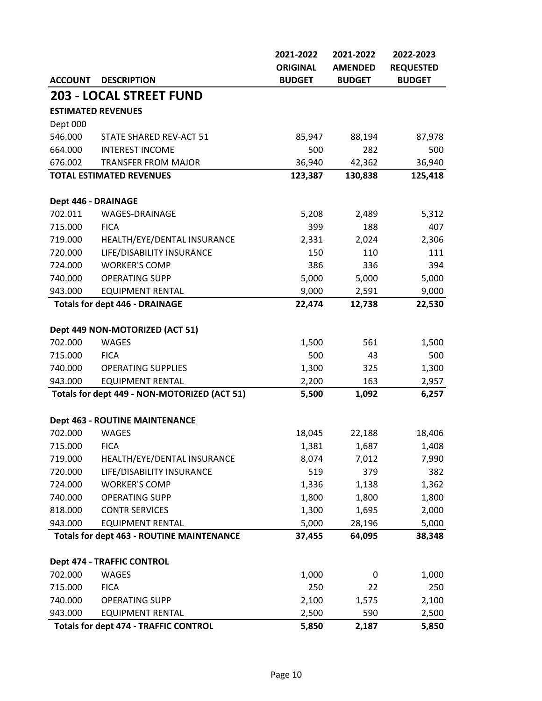|                     |                                                  | 2021-2022       | 2021-2022      | 2022-2023        |
|---------------------|--------------------------------------------------|-----------------|----------------|------------------|
|                     |                                                  | <b>ORIGINAL</b> | <b>AMENDED</b> | <b>REQUESTED</b> |
| <b>ACCOUNT</b>      | <b>DESCRIPTION</b>                               | <b>BUDGET</b>   | <b>BUDGET</b>  | <b>BUDGET</b>    |
|                     | <b>203 - LOCAL STREET FUND</b>                   |                 |                |                  |
|                     | <b>ESTIMATED REVENUES</b>                        |                 |                |                  |
| Dept 000            |                                                  |                 |                |                  |
| 546.000             | STATE SHARED REV-ACT 51                          | 85,947          | 88,194         | 87,978           |
| 664.000             | <b>INTEREST INCOME</b>                           | 500             | 282            | 500              |
| 676.002             | <b>TRANSFER FROM MAJOR</b>                       | 36,940          | 42,362         | 36,940           |
|                     | <b>TOTAL ESTIMATED REVENUES</b>                  | 123,387         | 130,838        | 125,418          |
|                     |                                                  |                 |                |                  |
| Dept 446 - DRAINAGE |                                                  |                 |                |                  |
| 702.011             | WAGES-DRAINAGE                                   | 5,208           | 2,489          | 5,312            |
| 715.000             | <b>FICA</b>                                      | 399             | 188            | 407              |
| 719.000             | HEALTH/EYE/DENTAL INSURANCE                      | 2,331           | 2,024          | 2,306            |
| 720.000             | LIFE/DISABILITY INSURANCE                        | 150             | 110            | 111              |
| 724.000             | <b>WORKER'S COMP</b>                             | 386             | 336            | 394              |
| 740.000             | <b>OPERATING SUPP</b>                            | 5,000           | 5,000          | 5,000            |
| 943.000             | <b>EQUIPMENT RENTAL</b>                          | 9,000           | 2,591          | 9,000            |
|                     | <b>Totals for dept 446 - DRAINAGE</b>            | 22,474          | 12,738         | 22,530           |
|                     | Dept 449 NON-MOTORIZED (ACT 51)                  |                 |                |                  |
| 702.000             | <b>WAGES</b>                                     | 1,500           | 561            | 1,500            |
| 715.000             | <b>FICA</b>                                      | 500             | 43             | 500              |
| 740.000             | <b>OPERATING SUPPLIES</b>                        | 1,300           | 325            | 1,300            |
| 943.000             | <b>EQUIPMENT RENTAL</b>                          | 2,200           | 163            | 2,957            |
|                     | Totals for dept 449 - NON-MOTORIZED (ACT 51)     | 5,500           | 1,092          | 6,257            |
|                     |                                                  |                 |                |                  |
|                     | <b>Dept 463 - ROUTINE MAINTENANCE</b>            |                 |                |                  |
| 702.000             | <b>WAGES</b>                                     | 18,045          | 22,188         | 18,406           |
| 715.000             | FICA                                             | 1,381           | 1,687          | 1,408            |
| 719.000             | HEALTH/EYE/DENTAL INSURANCE                      | 8,074           | 7,012          | 7,990            |
| 720.000             | LIFE/DISABILITY INSURANCE                        | 519             | 379            | 382              |
| 724.000             | <b>WORKER'S COMP</b>                             | 1,336           | 1,138          | 1,362            |
| 740.000             | <b>OPERATING SUPP</b>                            | 1,800           | 1,800          | 1,800            |
| 818.000             | <b>CONTR SERVICES</b>                            | 1,300           | 1,695          | 2,000            |
| 943.000             | <b>EQUIPMENT RENTAL</b>                          | 5,000           | 28,196         | 5,000            |
|                     | <b>Totals for dept 463 - ROUTINE MAINTENANCE</b> | 37,455          | 64,095         | 38,348           |
|                     |                                                  |                 |                |                  |
|                     | Dept 474 - TRAFFIC CONTROL                       |                 |                |                  |
| 702.000<br>715.000  | <b>WAGES</b><br><b>FICA</b>                      | 1,000<br>250    | 0<br>22        | 1,000            |
|                     |                                                  |                 |                | 250              |
| 740.000             | <b>OPERATING SUPP</b>                            | 2,100           | 1,575          | 2,100            |
| 943.000             | <b>EQUIPMENT RENTAL</b>                          | 2,500           | 590            | 2,500            |
|                     | <b>Totals for dept 474 - TRAFFIC CONTROL</b>     | 5,850           | 2,187          | 5,850            |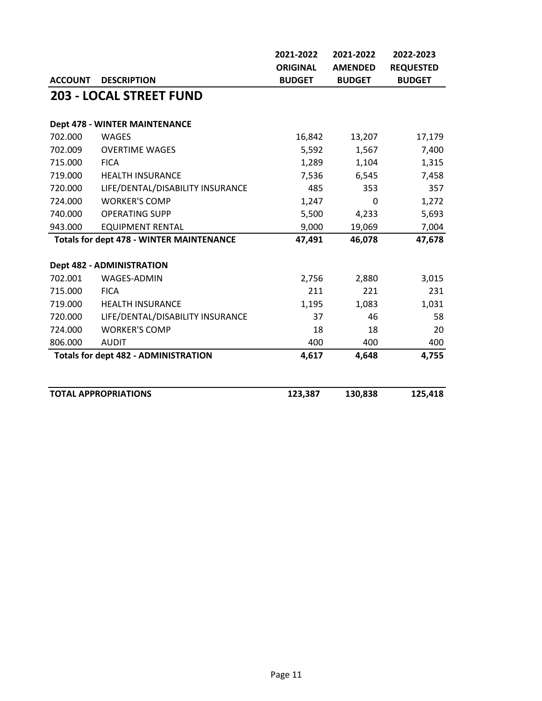|                |                                                 | 2021-2022       | 2021-2022      | 2022-2023        |
|----------------|-------------------------------------------------|-----------------|----------------|------------------|
|                |                                                 | <b>ORIGINAL</b> | <b>AMENDED</b> | <b>REQUESTED</b> |
| <b>ACCOUNT</b> | <b>DESCRIPTION</b>                              | <b>BUDGET</b>   | <b>BUDGET</b>  | <b>BUDGET</b>    |
|                | <b>203 - LOCAL STREET FUND</b>                  |                 |                |                  |
|                | <b>Dept 478 - WINTER MAINTENANCE</b>            |                 |                |                  |
| 702.000        | <b>WAGES</b>                                    | 16,842          | 13,207         | 17,179           |
| 702.009        | <b>OVERTIME WAGES</b>                           | 5,592           | 1,567          | 7,400            |
| 715.000        | <b>FICA</b>                                     | 1,289           | 1,104          | 1,315            |
| 719.000        | <b>HEALTH INSURANCE</b>                         | 7,536           | 6,545          | 7,458            |
| 720.000        | LIFE/DENTAL/DISABILITY INSURANCE                | 485             | 353            | 357              |
| 724.000        | <b>WORKER'S COMP</b>                            | 1,247           | $\mathbf{0}$   | 1,272            |
| 740.000        | <b>OPERATING SUPP</b>                           | 5,500           | 4,233          | 5,693            |
| 943.000        | <b>EQUIPMENT RENTAL</b>                         | 9,000           | 19,069         | 7,004            |
|                | <b>Totals for dept 478 - WINTER MAINTENANCE</b> | 47,491          | 46,078         | 47,678           |
|                | <b>Dept 482 - ADMINISTRATION</b>                |                 |                |                  |
| 702.001        | <b>WAGES-ADMIN</b>                              | 2,756           | 2,880          | 3,015            |
| 715.000        | <b>FICA</b>                                     | 211             | 221            | 231              |
| 719.000        | <b>HEALTH INSURANCE</b>                         | 1,195           | 1,083          | 1,031            |
| 720.000        | LIFE/DENTAL/DISABILITY INSURANCE                | 37              | 46             | 58               |
| 724.000        | <b>WORKER'S COMP</b>                            | 18              | 18             | 20               |
| 806.000        | <b>AUDIT</b>                                    | 400             | 400            | 400              |
|                | <b>Totals for dept 482 - ADMINISTRATION</b>     | 4,617           | 4,648          | 4,755            |
|                | <b>TOTAL APPROPRIATIONS</b>                     | 123,387         | 130,838        | 125,418          |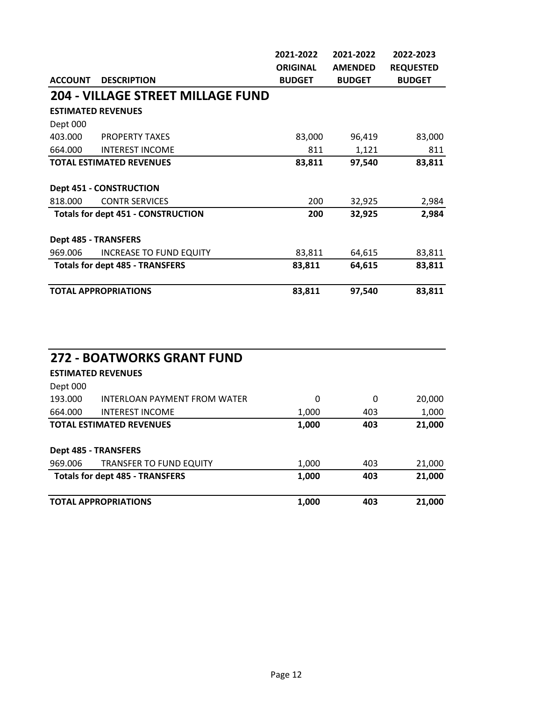|                |                                           | 2021-2022       | 2021-2022      | 2022-2023        |
|----------------|-------------------------------------------|-----------------|----------------|------------------|
|                |                                           | <b>ORIGINAL</b> | <b>AMENDED</b> | <b>REQUESTED</b> |
| <b>ACCOUNT</b> | <b>DESCRIPTION</b>                        | <b>BUDGET</b>   | <b>BUDGET</b>  | <b>BUDGET</b>    |
|                | <b>204 - VILLAGE STREET MILLAGE FUND</b>  |                 |                |                  |
|                | <b>ESTIMATED REVENUES</b>                 |                 |                |                  |
| Dept 000       |                                           |                 |                |                  |
| 403.000        | <b>PROPERTY TAXES</b>                     | 83,000          | 96,419         | 83,000           |
| 664.000        | <b>INTEREST INCOME</b>                    | 811             | 1,121          | 811              |
|                | <b>TOTAL ESTIMATED REVENUES</b>           | 83,811          | 97,540         | 83,811           |
|                |                                           |                 |                |                  |
|                | <b>Dept 451 - CONSTRUCTION</b>            |                 |                |                  |
| 818.000        | <b>CONTR SERVICES</b>                     | 200             | 32,925         | 2,984            |
|                | <b>Totals for dept 451 - CONSTRUCTION</b> | 200             | 32,925         | 2,984            |
|                |                                           |                 |                |                  |
|                | <b>Dept 485 - TRANSFERS</b>               |                 |                |                  |
| 969.006        | <b>INCREASE TO FUND EQUITY</b>            | 83,811          | 64,615         | 83,811           |
|                | <b>Totals for dept 485 - TRANSFERS</b>    | 83,811          | 64,615         | 83,811           |
|                | <b>TOTAL APPROPRIATIONS</b>               | 83,811          | 97,540         | 83,811           |

|          | <b>272 - BOATWORKS GRANT FUND</b>      |       |     |        |  |
|----------|----------------------------------------|-------|-----|--------|--|
|          | <b>ESTIMATED REVENUES</b>              |       |     |        |  |
| Dept 000 |                                        |       |     |        |  |
| 193.000  | INTERLOAN PAYMENT FROM WATER           | 0     | 0   | 20,000 |  |
| 664.000  | <b>INTEREST INCOME</b>                 | 1,000 | 403 | 1,000  |  |
|          | <b>TOTAL ESTIMATED REVENUES</b>        | 1,000 | 403 | 21,000 |  |
|          | <b>Dept 485 - TRANSFERS</b>            |       |     |        |  |
| 969.006  | <b>TRANSFER TO FUND EQUITY</b>         | 1,000 | 403 | 21,000 |  |
|          | <b>Totals for dept 485 - TRANSFERS</b> | 1,000 | 403 | 21,000 |  |
|          | <b>TOTAL APPROPRIATIONS</b>            | 1,000 | 403 | 21,000 |  |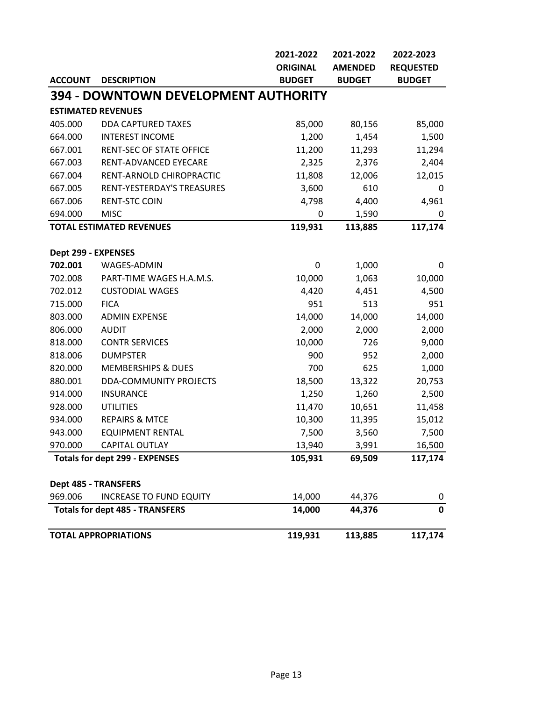|                             |                                             | 2021-2022       | 2021-2022      | 2022-2023        |
|-----------------------------|---------------------------------------------|-----------------|----------------|------------------|
|                             |                                             | <b>ORIGINAL</b> | <b>AMENDED</b> | <b>REQUESTED</b> |
| <b>ACCOUNT</b>              | <b>DESCRIPTION</b>                          | <b>BUDGET</b>   | <b>BUDGET</b>  | <b>BUDGET</b>    |
|                             | <b>394 - DOWNTOWN DEVELOPMENT AUTHORITY</b> |                 |                |                  |
|                             | <b>ESTIMATED REVENUES</b>                   |                 |                |                  |
| 405.000                     | <b>DDA CAPTURED TAXES</b>                   | 85,000          | 80,156         | 85,000           |
| 664.000                     | <b>INTEREST INCOME</b>                      | 1,200           | 1,454          | 1,500            |
| 667.001                     | <b>RENT-SEC OF STATE OFFICE</b>             | 11,200          | 11,293         | 11,294           |
| 667.003                     | RENT-ADVANCED EYECARE                       | 2,325           | 2,376          | 2,404            |
| 667.004                     | RENT-ARNOLD CHIROPRACTIC                    | 11,808          | 12,006         | 12,015           |
| 667.005                     | RENT-YESTERDAY'S TREASURES                  | 3,600           | 610            | 0                |
| 667.006                     | <b>RENT-STC COIN</b>                        | 4,798           | 4,400          | 4,961            |
| 694.000                     | <b>MISC</b>                                 | 0               | 1,590          | 0                |
|                             | <b>TOTAL ESTIMATED REVENUES</b>             | 119,931         | 113,885        | 117,174          |
| Dept 299 - EXPENSES         |                                             |                 |                |                  |
| 702.001                     | WAGES-ADMIN                                 | 0               | 1,000          | 0                |
| 702.008                     | PART-TIME WAGES H.A.M.S.                    | 10,000          | 1,063          | 10,000           |
| 702.012                     | <b>CUSTODIAL WAGES</b>                      | 4,420           | 4,451          | 4,500            |
| 715.000                     | <b>FICA</b>                                 | 951             | 513            | 951              |
| 803.000                     | <b>ADMIN EXPENSE</b>                        | 14,000          | 14,000         | 14,000           |
| 806.000                     | <b>AUDIT</b>                                | 2,000           | 2,000          | 2,000            |
| 818.000                     | <b>CONTR SERVICES</b>                       | 10,000          | 726            | 9,000            |
| 818.006                     | <b>DUMPSTER</b>                             | 900             | 952            | 2,000            |
| 820.000                     | <b>MEMBERSHIPS &amp; DUES</b>               | 700             | 625            | 1,000            |
| 880.001                     | <b>DDA-COMMUNITY PROJECTS</b>               | 18,500          | 13,322         | 20,753           |
| 914.000                     | <b>INSURANCE</b>                            | 1,250           | 1,260          | 2,500            |
| 928.000                     | <b>UTILITIES</b>                            | 11,470          | 10,651         | 11,458           |
| 934.000                     | <b>REPAIRS &amp; MTCE</b>                   | 10,300          | 11,395         | 15,012           |
| 943.000                     | <b>EQUIPMENT RENTAL</b>                     | 7,500           | 3,560          | 7,500            |
| 970.000                     | CAPITAL OUTLAY                              | 13,940          | 3,991          | 16,500           |
|                             | <b>Totals for dept 299 - EXPENSES</b>       | 105,931         | 69,509         | 117,174          |
| <b>Dept 485 - TRANSFERS</b> |                                             |                 |                |                  |
| 969.006                     | <b>INCREASE TO FUND EQUITY</b>              | 14,000          | 44,376         | 0                |
|                             | <b>Totals for dept 485 - TRANSFERS</b>      | 14,000          | 44,376         | $\mathbf 0$      |
|                             | <b>TOTAL APPROPRIATIONS</b>                 | 119,931         | 113,885        | 117,174          |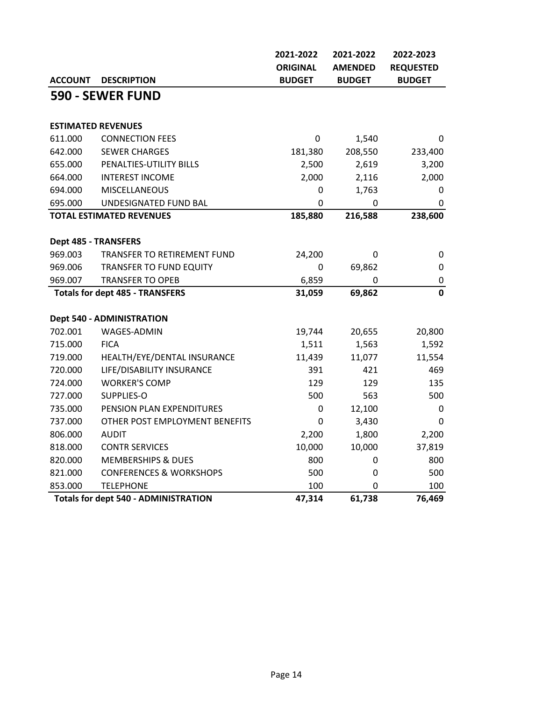|                                                       |                                    | 2021-2022       | 2021-2022      | 2022-2023        |
|-------------------------------------------------------|------------------------------------|-----------------|----------------|------------------|
|                                                       |                                    | <b>ORIGINAL</b> | <b>AMENDED</b> | <b>REQUESTED</b> |
| <b>ACCOUNT</b>                                        | <b>DESCRIPTION</b>                 | <b>BUDGET</b>   | <b>BUDGET</b>  | <b>BUDGET</b>    |
|                                                       | 590 - SEWER FUND                   |                 |                |                  |
|                                                       |                                    |                 |                |                  |
|                                                       | <b>ESTIMATED REVENUES</b>          |                 |                |                  |
| 611.000                                               | <b>CONNECTION FEES</b>             | 0               | 1,540          | 0                |
| 642.000                                               | <b>SEWER CHARGES</b>               | 181,380         | 208,550        | 233,400          |
| 655.000                                               | PENALTIES-UTILITY BILLS            | 2,500           | 2,619          | 3,200            |
| 664.000                                               | <b>INTEREST INCOME</b>             | 2,000           | 2,116          | 2,000            |
| 694.000                                               | <b>MISCELLANEOUS</b>               | 0               | 1,763          | 0                |
| 695.000                                               | UNDESIGNATED FUND BAL              | 0               | 0              | 0                |
|                                                       | <b>TOTAL ESTIMATED REVENUES</b>    | 185,880         | 216,588        | 238,600          |
|                                                       |                                    |                 |                |                  |
| <b>Dept 485 - TRANSFERS</b>                           |                                    |                 |                |                  |
| 969.003                                               | TRANSFER TO RETIREMENT FUND        | 24,200          | 0              | $\pmb{0}$        |
| 969.006                                               | TRANSFER TO FUND EQUITY            | $\pmb{0}$       | 69,862         | 0                |
| 969.007                                               | <b>TRANSFER TO OPEB</b>            | 6,859           | 0              | $\pmb{0}$        |
| <b>Totals for dept 485 - TRANSFERS</b>                |                                    | 31,059          | 69,862         | $\mathbf 0$      |
|                                                       |                                    |                 |                |                  |
|                                                       | <b>Dept 540 - ADMINISTRATION</b>   |                 |                |                  |
| 702.001                                               | WAGES-ADMIN                        | 19,744          | 20,655         | 20,800           |
| 715.000                                               | <b>FICA</b>                        | 1,511           | 1,563          | 1,592            |
| 719.000                                               | HEALTH/EYE/DENTAL INSURANCE        | 11,439          | 11,077         | 11,554           |
| 720.000                                               | LIFE/DISABILITY INSURANCE          | 391             | 421            | 469              |
| 724.000                                               | <b>WORKER'S COMP</b>               | 129             | 129            | 135              |
| 727.000                                               | SUPPLIES-O                         | 500             | 563            | 500              |
| 735.000                                               | PENSION PLAN EXPENDITURES          | $\mathbf 0$     | 12,100         | 0                |
| 737.000                                               | OTHER POST EMPLOYMENT BENEFITS     | 0               | 3,430          | 0                |
| 806.000                                               | <b>AUDIT</b>                       | 2,200           | 1,800          | 2,200            |
| 818.000                                               | <b>CONTR SERVICES</b>              | 10,000          | 10,000         | 37,819           |
| 820.000                                               | <b>MEMBERSHIPS &amp; DUES</b>      | 800             | 0              | 800              |
| 821.000                                               | <b>CONFERENCES &amp; WORKSHOPS</b> | 500             | 0              | 500              |
| 853.000                                               | <b>TELEPHONE</b>                   | 100             | $\Omega$       | 100              |
| 47,314<br><b>Totals for dept 540 - ADMINISTRATION</b> |                                    |                 | 61,738         | 76,469           |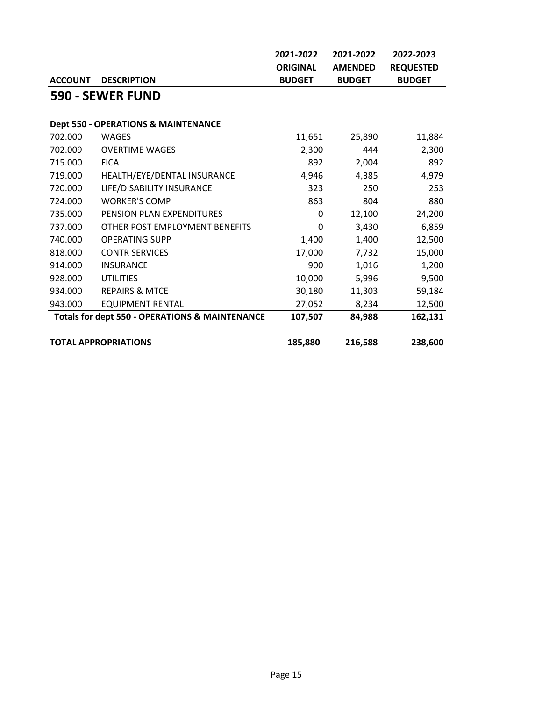|                |                                                           | 2021-2022       | 2021-2022      | 2022-2023        |
|----------------|-----------------------------------------------------------|-----------------|----------------|------------------|
|                |                                                           | <b>ORIGINAL</b> | <b>AMENDED</b> | <b>REQUESTED</b> |
| <b>ACCOUNT</b> | <b>DESCRIPTION</b>                                        | <b>BUDGET</b>   | <b>BUDGET</b>  | <b>BUDGET</b>    |
|                | 590 - SEWER FUND                                          |                 |                |                  |
|                |                                                           |                 |                |                  |
|                | <b>Dept 550 - OPERATIONS &amp; MAINTENANCE</b>            |                 |                |                  |
| 702.000        | <b>WAGES</b>                                              | 11,651          | 25,890         | 11,884           |
| 702.009        | <b>OVERTIME WAGES</b>                                     | 2,300           | 444            | 2,300            |
| 715.000        | <b>FICA</b>                                               | 892             | 2,004          | 892              |
| 719.000        | HEALTH/EYE/DENTAL INSURANCE                               | 4,946           | 4,385          | 4,979            |
| 720.000        | LIFE/DISABILITY INSURANCE                                 | 323             | 250            | 253              |
| 724.000        | <b>WORKER'S COMP</b>                                      | 863             | 804            | 880              |
| 735.000        | PENSION PLAN EXPENDITURES                                 | 0               | 12,100         | 24,200           |
| 737.000        | OTHER POST EMPLOYMENT BENEFITS                            | 0               | 3,430          | 6,859            |
| 740.000        | <b>OPERATING SUPP</b>                                     | 1,400           | 1,400          | 12,500           |
| 818.000        | <b>CONTR SERVICES</b>                                     | 17,000          | 7,732          | 15,000           |
| 914.000        | <b>INSURANCE</b>                                          | 900             | 1,016          | 1,200            |
| 928.000        | <b>UTILITIES</b>                                          | 10,000          | 5,996          | 9,500            |
| 934.000        | <b>REPAIRS &amp; MTCE</b>                                 | 30,180          | 11,303         | 59,184           |
| 943.000        | <b>EQUIPMENT RENTAL</b>                                   | 27,052          | 8,234          | 12,500           |
|                | <b>Totals for dept 550 - OPERATIONS &amp; MAINTENANCE</b> | 107,507         | 84,988         | 162,131          |
|                | <b>TOTAL APPROPRIATIONS</b>                               | 185,880         | 216,588        | 238,600          |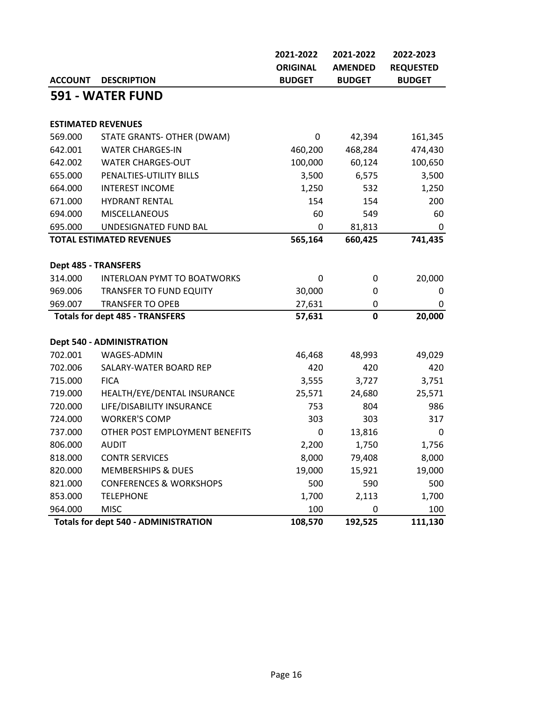|                                                        |                                        | 2021-2022       | 2021-2022      | 2022-2023        |
|--------------------------------------------------------|----------------------------------------|-----------------|----------------|------------------|
|                                                        |                                        | <b>ORIGINAL</b> | <b>AMENDED</b> | <b>REQUESTED</b> |
| <b>ACCOUNT</b>                                         | <b>DESCRIPTION</b>                     | <b>BUDGET</b>   | <b>BUDGET</b>  | <b>BUDGET</b>    |
|                                                        | 591 - WATER FUND                       |                 |                |                  |
|                                                        |                                        |                 |                |                  |
|                                                        | <b>ESTIMATED REVENUES</b>              |                 |                |                  |
| 569.000                                                | STATE GRANTS- OTHER (DWAM)             | 0               | 42,394         | 161,345          |
| 642.001                                                | <b>WATER CHARGES-IN</b>                | 460,200         | 468,284        | 474,430          |
| 642.002                                                | <b>WATER CHARGES-OUT</b>               | 100,000         | 60,124         | 100,650          |
| 655.000                                                | PENALTIES-UTILITY BILLS                | 3,500           | 6,575          | 3,500            |
| 664.000                                                | <b>INTEREST INCOME</b>                 | 1,250           | 532            | 1,250            |
| 671.000                                                | <b>HYDRANT RENTAL</b>                  | 154             | 154            | 200              |
| 694.000                                                | <b>MISCELLANEOUS</b>                   | 60              | 549            | 60               |
| 695.000                                                | UNDESIGNATED FUND BAL                  | 0               | 81,813         | $\mathbf 0$      |
|                                                        | <b>TOTAL ESTIMATED REVENUES</b>        | 565,164         | 660,425        | 741,435          |
|                                                        |                                        |                 |                |                  |
|                                                        | <b>Dept 485 - TRANSFERS</b>            |                 |                |                  |
| 314.000                                                | <b>INTERLOAN PYMT TO BOATWORKS</b>     | 0               | 0              | 20,000           |
| 969.006                                                | <b>TRANSFER TO FUND EQUITY</b>         | 30,000          | 0              | 0                |
| 969.007                                                | <b>TRANSFER TO OPEB</b>                | 27,631          | 0              | 0                |
|                                                        | <b>Totals for dept 485 - TRANSFERS</b> | 57,631          | $\mathbf 0$    | 20,000           |
|                                                        |                                        |                 |                |                  |
|                                                        | <b>Dept 540 - ADMINISTRATION</b>       |                 |                |                  |
| 702.001                                                | WAGES-ADMIN                            | 46,468          | 48,993         | 49,029           |
| 702.006                                                | SALARY-WATER BOARD REP                 | 420             | 420            | 420              |
| 715.000                                                | <b>FICA</b>                            | 3,555           | 3,727          | 3,751            |
| 719.000                                                | HEALTH/EYE/DENTAL INSURANCE            | 25,571          | 24,680         | 25,571           |
| 720.000                                                | LIFE/DISABILITY INSURANCE              | 753             | 804            | 986              |
| 724.000                                                | <b>WORKER'S COMP</b>                   | 303             | 303            | 317              |
| 737.000                                                | OTHER POST EMPLOYMENT BENEFITS         | 0               | 13,816         | 0                |
| 806.000                                                | <b>AUDIT</b>                           | 2,200           | 1,750          | 1,756            |
| 818.000                                                | <b>CONTR SERVICES</b>                  | 8,000           | 79,408         | 8,000            |
| 820.000                                                | <b>MEMBERSHIPS &amp; DUES</b>          | 19,000          | 15,921         | 19,000           |
| 821.000                                                | <b>CONFERENCES &amp; WORKSHOPS</b>     | 500             | 590            | 500              |
| 853.000                                                | <b>TELEPHONE</b>                       | 1,700           | 2,113          | 1,700            |
| 964.000                                                | <b>MISC</b>                            | 100             | 0              | 100              |
| <b>Totals for dept 540 - ADMINISTRATION</b><br>108,570 |                                        |                 | 192,525        | 111,130          |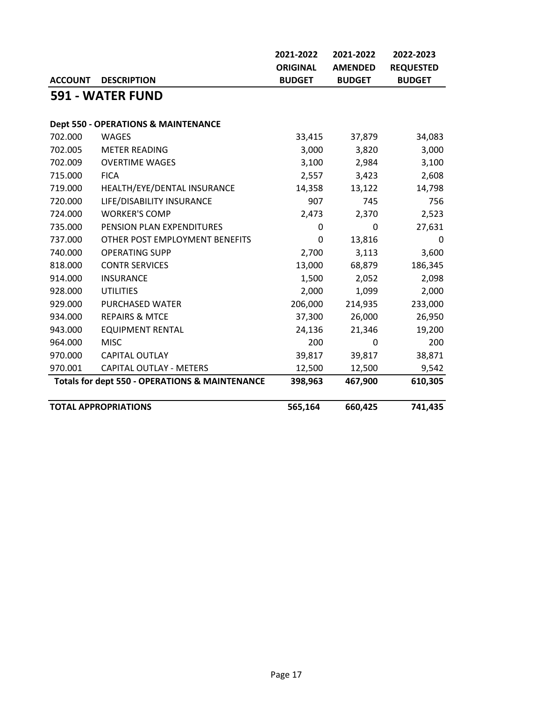|                                                           |                                                | 2021-2022       | 2021-2022      | 2022-2023        |  |  |
|-----------------------------------------------------------|------------------------------------------------|-----------------|----------------|------------------|--|--|
|                                                           |                                                | <b>ORIGINAL</b> | <b>AMENDED</b> | <b>REQUESTED</b> |  |  |
| <b>ACCOUNT</b>                                            | <b>DESCRIPTION</b>                             | <b>BUDGET</b>   | <b>BUDGET</b>  | <b>BUDGET</b>    |  |  |
|                                                           | 591 - WATER FUND                               |                 |                |                  |  |  |
|                                                           |                                                |                 |                |                  |  |  |
|                                                           | <b>Dept 550 - OPERATIONS &amp; MAINTENANCE</b> |                 |                |                  |  |  |
| 702.000                                                   | <b>WAGES</b>                                   | 33,415          | 37,879         | 34,083           |  |  |
| 702.005                                                   | <b>METER READING</b>                           | 3,000           | 3,820          | 3,000            |  |  |
| 702.009                                                   | <b>OVERTIME WAGES</b>                          | 3,100           | 2,984          | 3,100            |  |  |
| 715.000                                                   | <b>FICA</b>                                    | 2,557           | 3,423          | 2,608            |  |  |
| 719.000                                                   | HEALTH/EYE/DENTAL INSURANCE                    | 14,358          | 13,122         | 14,798           |  |  |
| 720.000                                                   | LIFE/DISABILITY INSURANCE                      | 907             | 745            | 756              |  |  |
| 724.000                                                   | <b>WORKER'S COMP</b>                           | 2,473           | 2,370          | 2,523            |  |  |
| 735.000                                                   | PENSION PLAN EXPENDITURES                      | $\Omega$        | 0              | 27,631           |  |  |
| 737.000                                                   | OTHER POST EMPLOYMENT BENEFITS                 | 0               | 13,816         | 0                |  |  |
| 740.000                                                   | <b>OPERATING SUPP</b>                          | 2,700           | 3,113          | 3,600            |  |  |
| 818.000                                                   | <b>CONTR SERVICES</b>                          | 13,000          | 68,879         | 186,345          |  |  |
| 914.000                                                   | <b>INSURANCE</b>                               | 1,500           | 2,052          | 2,098            |  |  |
| 928.000                                                   | <b>UTILITIES</b>                               | 2,000           | 1,099          | 2,000            |  |  |
| 929.000                                                   | <b>PURCHASED WATER</b>                         | 206,000         | 214,935        | 233,000          |  |  |
| 934.000                                                   | <b>REPAIRS &amp; MTCE</b>                      | 37,300          | 26,000         | 26,950           |  |  |
| 943.000                                                   | <b>EQUIPMENT RENTAL</b>                        | 24,136          | 21,346         | 19,200           |  |  |
| 964.000                                                   | <b>MISC</b>                                    | 200             | 0              | 200              |  |  |
| 970.000                                                   | <b>CAPITAL OUTLAY</b>                          | 39,817          | 39,817         | 38,871           |  |  |
| 970.001                                                   | <b>CAPITAL OUTLAY - METERS</b>                 | 12,500          | 12,500         | 9,542            |  |  |
| <b>Totals for dept 550 - OPERATIONS &amp; MAINTENANCE</b> |                                                | 398,963         | 467,900        | 610,305          |  |  |
| <b>TOTAL APPROPRIATIONS</b>                               |                                                | 565,164         | 660,425        | 741,435          |  |  |